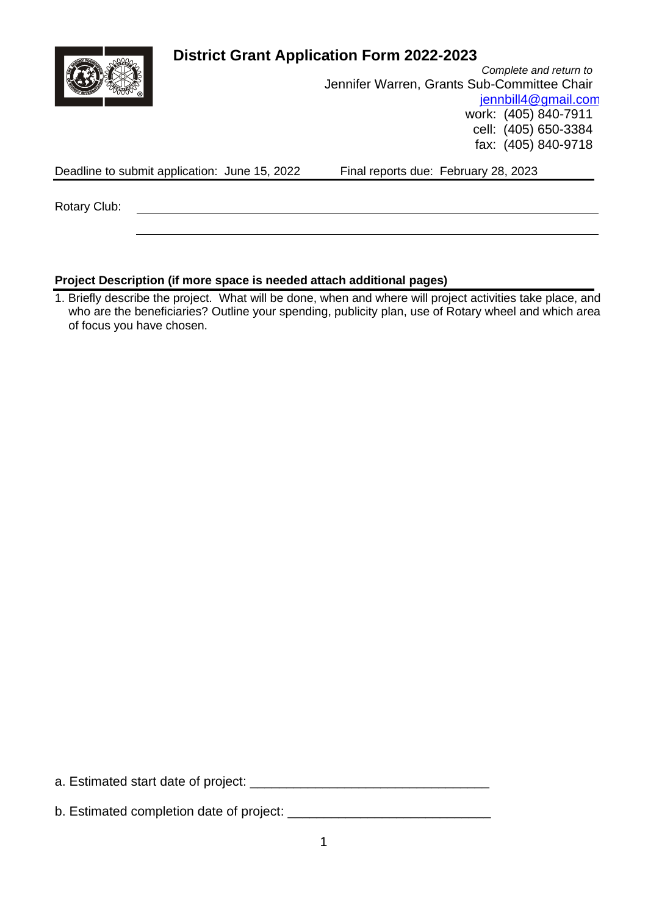|              |                                               | <b>District Grant Application Form 2022-2023</b> |                        |
|--------------|-----------------------------------------------|--------------------------------------------------|------------------------|
|              |                                               |                                                  | Complete and return to |
|              |                                               | Jennifer Warren, Grants Sub-Committee Chair      |                        |
|              |                                               |                                                  | jennbill4@gmail.com    |
|              |                                               |                                                  | work: (405) 840-7911   |
|              |                                               |                                                  | cell: (405) 650-3384   |
|              |                                               |                                                  | fax: (405) 840-9718    |
|              | Deadline to submit application: June 15, 2022 | Final reports due: February 28, 2023             |                        |
|              |                                               |                                                  |                        |
| Rotary Club: |                                               |                                                  |                        |
|              |                                               |                                                  |                        |
|              |                                               |                                                  |                        |

## **Project Description (if more space is needed attach additional pages)**

1. Briefly describe the project. What will be done, when and where will project activities take place, and who are the beneficiaries? Outline your spending, publicity plan, use of Rotary wheel and which area of focus you have chosen.

a. Estimated start date of project: \_\_\_\_\_\_\_\_\_\_\_\_\_\_\_\_\_\_\_\_\_\_\_\_\_\_\_\_\_\_\_\_\_

b. Estimated completion date of project: \_\_\_\_\_\_\_\_\_\_\_\_\_\_\_\_\_\_\_\_\_\_\_\_\_\_\_\_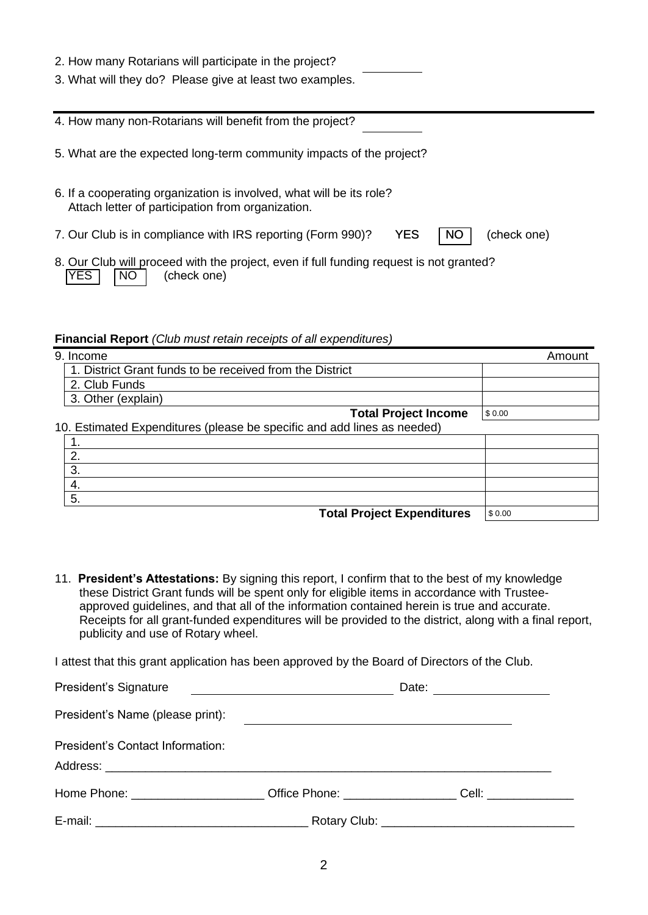| 2. How many Rotarians will participate in the project?<br>3. What will they do? Please give at least two examples.                |  |
|-----------------------------------------------------------------------------------------------------------------------------------|--|
| 4. How many non-Rotarians will benefit from the project?                                                                          |  |
| 5. What are the expected long-term community impacts of the project?                                                              |  |
| 6. If a cooperating organization is involved, what will be its role?<br>Attach letter of participation from organization.         |  |
| <b>YES</b><br>7. Our Club is in compliance with IRS reporting (Form 990)?<br>(check one)<br><b>NO</b>                             |  |
| 8. Our Club will proceed with the project, even if full funding request is not granted?<br><b>YES</b><br><b>NO</b><br>(check one) |  |

#### **Financial Report** *(Club must retain receipts of all expenditures)*

| 9. Income                                                               | Amount |
|-------------------------------------------------------------------------|--------|
| 1. District Grant funds to be received from the District                |        |
| 2. Club Funds                                                           |        |
| 3. Other (explain)                                                      |        |
| <b>Total Project Income</b>                                             | \$0.00 |
| 10. Estimated Expenditures (please be specific and add lines as needed) |        |
|                                                                         |        |
| 2.                                                                      |        |
| 3.                                                                      |        |
| 4.                                                                      |        |
| 5.                                                                      |        |
| <b>Total Project Expenditures</b>                                       | \$0.00 |

11. **President's Attestations:** By signing this report, I confirm that to the best of my knowledge these District Grant funds will be spent only for eligible items in accordance with Trusteeapproved guidelines, and that all of the information contained herein is true and accurate. Receipts for all grant-funded expenditures will be provided to the district, along with a final report, publicity and use of Rotary wheel.

I attest that this grant application has been approved by the Board of Directors of the Club.

| President's Signature                                                                                          | <u> 1989 - Andrea Barbara, poeta espainiar político e a la provincia de la provincia de la provincia de la provi</u>  | Date: __________________ |  |
|----------------------------------------------------------------------------------------------------------------|-----------------------------------------------------------------------------------------------------------------------|--------------------------|--|
| President's Name (please print):                                                                               | <u> 1989 - Andrea State Barbara, amerikan personal di sebagai personal di sebagai personal di sebagai personal di</u> |                          |  |
| President's Contact Information:                                                                               |                                                                                                                       |                          |  |
| Home Phone: Cell: Comparison Comparison Cell: Cell: Cell: Cell: Cell: Cell: Cell: Cell: Cell: Cell: Cell: Cell |                                                                                                                       |                          |  |
|                                                                                                                |                                                                                                                       |                          |  |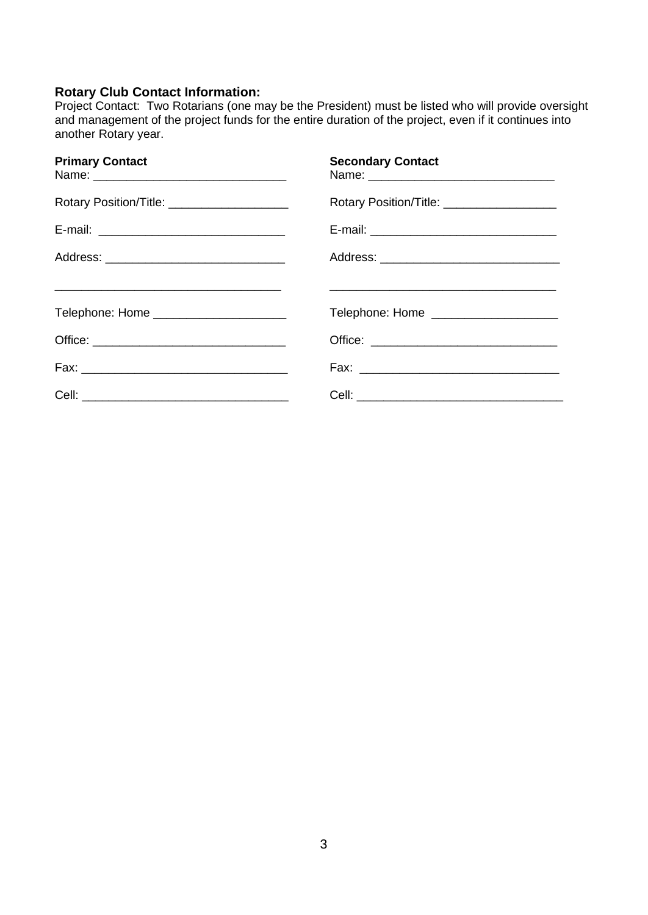### **Rotary Club Contact Information:**

Project Contact: Two Rotarians (one may be the President) must be listed who will provide oversight and management of the project funds for the entire duration of the project, even if it continues into another Rotary year.

| <b>Primary Contact</b>                        | <b>Secondary Contact</b>                                                                                             |
|-----------------------------------------------|----------------------------------------------------------------------------------------------------------------------|
| Rotary Position/Title: ______________________ | Rotary Position/Title: ____________________                                                                          |
|                                               |                                                                                                                      |
| Address: __________________________________   |                                                                                                                      |
|                                               | <u> 1980 - Jan James James James James James James James James James James James James James James James James J</u> |
| Telephone: Home _______________________       | Telephone: Home _____________________                                                                                |
|                                               |                                                                                                                      |
|                                               |                                                                                                                      |
|                                               |                                                                                                                      |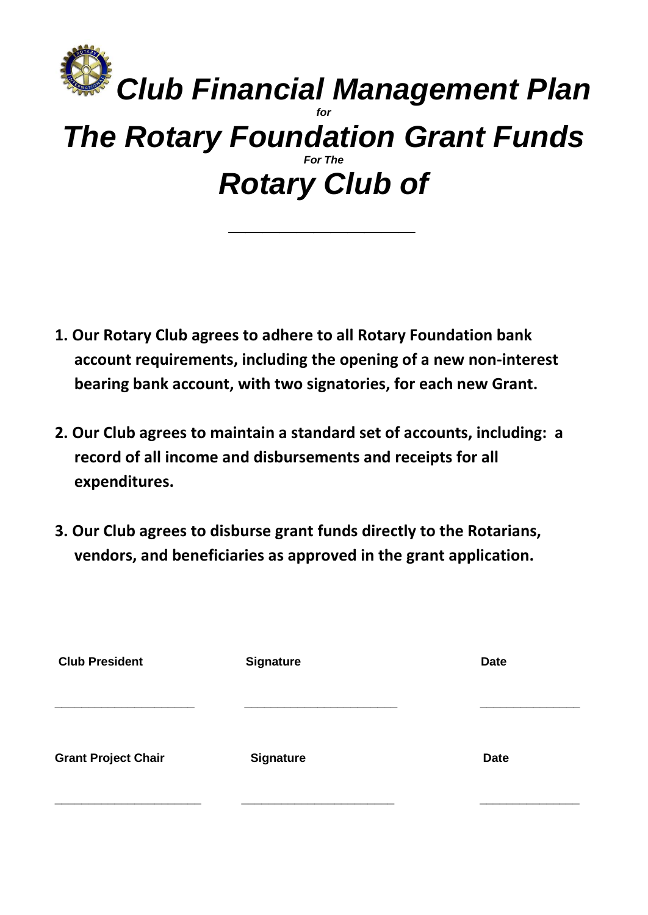# *Club Financial Management Plan for The Rotary Foundation Grant Funds For The Rotary Club of*

*\_\_\_\_\_\_\_\_\_\_\_*

- **1. Our Rotary Club agrees to adhere to all Rotary Foundation bank account requirements, including the opening of a new non-interest bearing bank account, with two signatories, for each new Grant.**
- **2. Our Club agrees to maintain a standard set of accounts, including: a record of all income and disbursements and receipts for all expenditures.**
- **3. Our Club agrees to disburse grant funds directly to the Rotarians, vendors, and beneficiaries as approved in the grant application.**

| <b>Club President</b>      | <b>Signature</b> | <b>Date</b> |
|----------------------------|------------------|-------------|
|                            |                  |             |
|                            |                  |             |
|                            |                  |             |
|                            |                  |             |
| <b>Grant Project Chair</b> | <b>Signature</b> | <b>Date</b> |
|                            |                  |             |
|                            |                  |             |